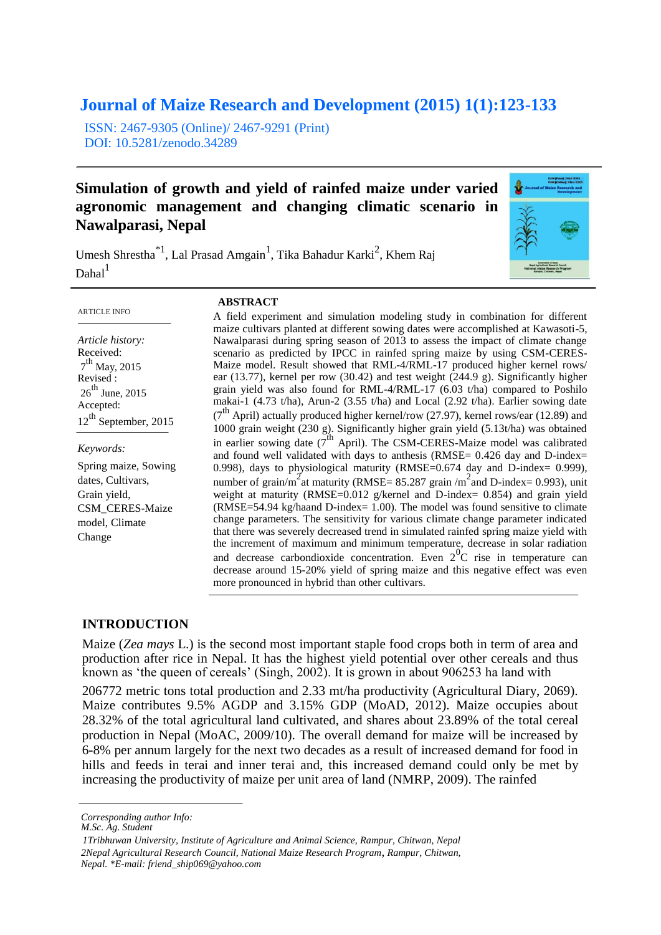# **Journal of Maize Research and Development (2015) 1(1):123-133**

ISSN: 2467-9305 (Online)/ 2467-9291 (Print) DOI: 10.5281/zenodo.34289

# **Simulation of growth and yield of rainfed maize under varied agronomic management and changing climatic scenario in Nawalparasi, Nepal**

Umesh Shrestha<sup>\*1</sup>, Lal Prasad Amgain<sup>1</sup>, Tika Bahadur Karki<sup>2</sup>, Khem Raj  $Dahal<sup>1</sup>$ 



#### **ABSTRACT**

*Article history:* Received: 7<sup>th</sup> May, 2015 Revised :  $26^{th}$  June, 2015 Accepted: 12<sup>th</sup> September, 2015

*Keywords:* Spring maize, Sowing dates, Cultivars, Grain yield, CSM\_CERES-Maize model, Climate

Change

A field experiment and simulation modeling study in combination for different maize cultivars planted at different sowing dates were accomplished at Kawasoti-5, Nawalparasi during spring season of 2013 to assess the impact of climate change scenario as predicted by IPCC in rainfed spring maize by using CSM-CERES-Maize model. Result showed that RML-4/RML-17 produced higher kernel rows/ ear (13.77), kernel per row (30.42) and test weight (244.9 g). Significantly higher grain yield was also found for RML-4/RML-17 (6.03 t/ha) compared to Poshilo makai-1 (4.73 t/ha), Arun-2 (3.55 t/ha) and Local (2.92 t/ha). Earlier sowing date  $(7<sup>th</sup>$  April) actually produced higher kernel/row (27.97), kernel rows/ear (12.89) and 1000 grain weight (230 g). Significantly higher grain yield (5.13t/ha) was obtained in earlier sowing date ( $7<sup>th</sup>$  April). The CSM-CERES-Maize model was calibrated and found well validated with days to anthesis (RMSE= 0.426 day and D-index= 0.998), days to physiological maturity (RMSE=0.674 day and D-index= 0.999), number of grain/m<sup>2</sup> at maturity (RMSE= 85.287 grain /m<sup>2</sup> and D-index= 0.993), unit weight at maturity (RMSE=0.012 g/kernel and D-index= 0.854) and grain yield (RMSE=54.94 kg/haand D-index= 1.00). The model was found sensitive to climate change parameters. The sensitivity for various climate change parameter indicated that there was severely decreased trend in simulated rainfed spring maize yield with the increment of maximum and minimum temperature, decrease in solar radiation and decrease carbondioxide concentration. Even  $2^{0}C$  rise in temperature can decrease around 15-20% yield of spring maize and this negative effect was even more pronounced in hybrid than other cultivars.

## **INTRODUCTION**

Maize (*Zea mays* L.) is the second most important staple food crops both in term of area and production after rice in Nepal. It has the highest yield potential over other cereals and thus known as 'the queen of cereals' (Singh, 2002). It is grown in about 906253 ha land with

206772 metric tons total production and 2.33 mt/ha productivity (Agricultural Diary, 2069). Maize contributes 9.5% AGDP and 3.15% GDP (MoAD, 2012). Maize occupies about 28.32% of the total agricultural land cultivated, and shares about 23.89% of the total cereal production in Nepal (MoAC, 2009/10). The overall demand for maize will be increased by 6-8% per annum largely for the next two decades as a result of increased demand for food in hills and feeds in terai and inner terai and, this increased demand could only be met by increasing the productivity of maize per unit area of land (NMRP, 2009). The rainfed

*Corresponding author Info:* 

*M.Sc. Ag. Student*

*<sup>1</sup>Tribhuwan University, Institute of Agriculture and Animal Science, Rampur, Chitwan, Nepal 2Nepal Agricultural Research Council, National Maize Research Program*, *Rampur, Chitwan, Nepal. \*E-mail: friend\_ship069@yahoo.com*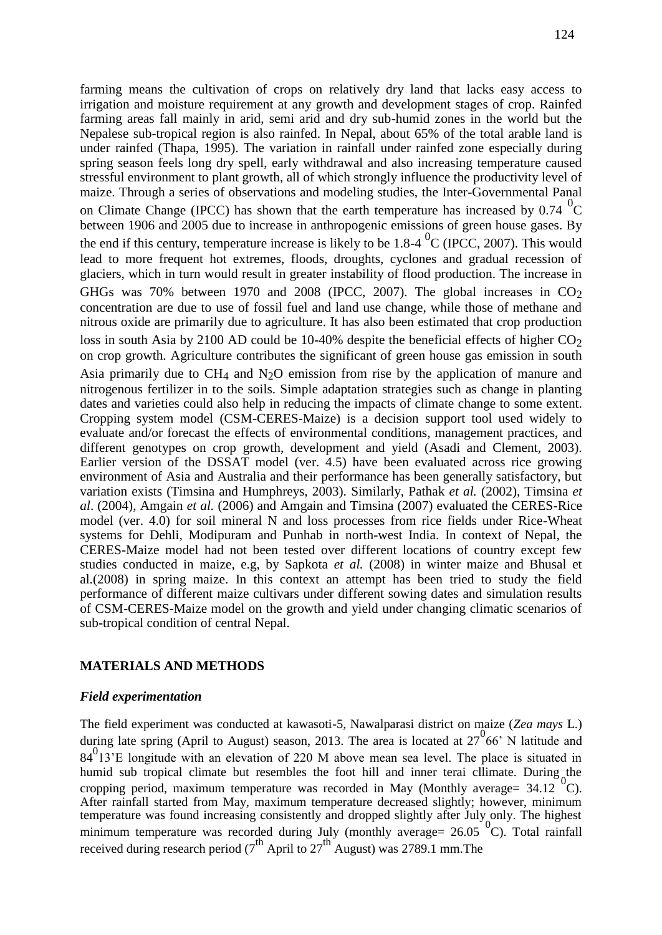farming means the cultivation of crops on relatively dry land that lacks easy access to irrigation and moisture requirement at any growth and development stages of crop. Rainfed farming areas fall mainly in arid, semi arid and dry sub-humid zones in the world but the Nepalese sub-tropical region is also rainfed. In Nepal, about 65% of the total arable land is under rainfed (Thapa, 1995). The variation in rainfall under rainfed zone especially during spring season feels long dry spell, early withdrawal and also increasing temperature caused stressful environment to plant growth, all of which strongly influence the productivity level of maize. Through a series of observations and modeling studies, the Inter-Governmental Panal on Climate Change (IPCC) has shown that the earth temperature has increased by  $0.74 \text{ }^0\text{C}$ between 1906 and 2005 due to increase in anthropogenic emissions of green house gases. By the end if this century, temperature increase is likely to be 1.8-4  $^{0}$ C (IPCC, 2007). This would lead to more frequent hot extremes, floods, droughts, cyclones and gradual recession of glaciers, which in turn would result in greater instability of flood production. The increase in GHGs was 70% between 1970 and 2008 (IPCC, 2007). The global increases in  $CO<sub>2</sub>$ concentration are due to use of fossil fuel and land use change, while those of methane and nitrous oxide are primarily due to agriculture. It has also been estimated that crop production loss in south Asia by 2100 AD could be 10-40% despite the beneficial effects of higher  $CO<sub>2</sub>$ on crop growth. Agriculture contributes the significant of green house gas emission in south Asia primarily due to  $CH_4$  and  $N_2O$  emission from rise by the application of manure and nitrogenous fertilizer in to the soils. Simple adaptation strategies such as change in planting dates and varieties could also help in reducing the impacts of climate change to some extent. Cropping system model (CSM-CERES-Maize) is a decision support tool used widely to evaluate and/or forecast the effects of environmental conditions, management practices, and different genotypes on crop growth, development and yield (Asadi and Clement, 2003). Earlier version of the DSSAT model (ver. 4.5) have been evaluated across rice growing environment of Asia and Australia and their performance has been generally satisfactory, but variation exists (Timsina and Humphreys, 2003). Similarly, Pathak *et al.* (2002), Timsina *et al*. (2004), Amgain *et al.* (2006) and Amgain and Timsina (2007) evaluated the CERES-Rice model (ver. 4.0) for soil mineral N and loss processes from rice fields under Rice-Wheat systems for Dehli, Modipuram and Punhab in north-west India. In context of Nepal, the CERES-Maize model had not been tested over different locations of country except few studies conducted in maize, e.g, by Sapkota *et al.* (2008) in winter maize and Bhusal et al.(2008) in spring maize. In this context an attempt has been tried to study the field performance of different maize cultivars under different sowing dates and simulation results of CSM-CERES-Maize model on the growth and yield under changing climatic scenarios of sub-tropical condition of central Nepal.

# **MATERIALS AND METHODS**

# *Field experimentation*

The field experiment was conducted at kawasoti-5, Nawalparasi district on maize (*Zea mays* L.) during late spring (April to August) season, 2013. The area is located at  $27^{0}66'$  N latitude and  $84<sup>0</sup>13$ <sup>'</sup>E longitude with an elevation of 220 M above mean sea level. The place is situated in humid sub tropical climate but resembles the foot hill and inner terai cllimate. During the cropping period, maximum temperature was recorded in May (Monthly average=  $34.12\degree$ °C). After rainfall started from May, maximum temperature decreased slightly; however, minimum temperature was found increasing consistently and dropped slightly after July only. The highest minimum temperature was recorded during July (monthly average=  $26.05\degree$ C). Total rainfall received during research period ( $7^{th}$  April to  $27^{th}$  August) was 2789.1 mm. The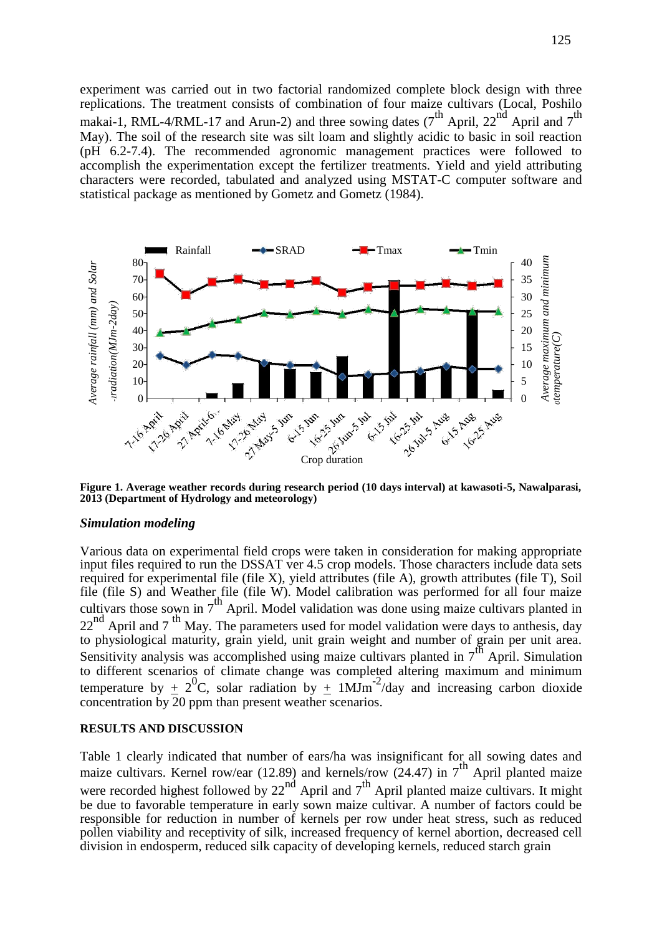experiment was carried out in two factorial randomized complete block design with three replications. The treatment consists of combination of four maize cultivars (Local, Poshilo makai-1, RML-4/RML-17 and Arun-2) and three sowing dates  $(7^{th}$  April,  $22^{nd}$  April and  $7^{th}$ May). The soil of the research site was silt loam and slightly acidic to basic in soil reaction (pH 6.2-7.4). The recommended agronomic management practices were followed to accomplish the experimentation except the fertilizer treatments. Yield and yield attributing characters were recorded, tabulated and analyzed using MSTAT-C computer software and statistical package as mentioned by Gometz and Gometz (1984).



**Figure 1. Average weather records during research period (10 days interval) at kawasoti-5, Nawalparasi, 2013 (Department of Hydrology and meteorology)**

#### *Simulation modeling*

Various data on experimental field crops were taken in consideration for making appropriate input files required to run the DSSAT ver 4.5 crop models. Those characters include data sets required for experimental file (file X), yield attributes (file A), growth attributes (file T), Soil file (file S) and Weather file (file W). Model calibration was performed for all four maize cultivars those sown in  $7<sup>th</sup>$  April. Model validation was done using maize cultivars planted in  $22<sup>nd</sup>$  April and 7<sup>th</sup> May. The parameters used for model validation were days to anthesis, day to physiological maturity, grain yield, unit grain weight and number of grain per unit area. Sensitivity analysis was accomplished using maize cultivars planted in  $7^{th}$  April. Simulation to different scenarios of climate change was completed altering maximum and minimum<br>temperature by  $\sim 2^{0}C$  solar radiation by  $\sim 1$ MIm<sup>-2</sup>/day and increasing sorber dispute temperature by  $\pm 2^{0}C$ , solar radiation by  $\pm 1$ MJm<sup>-2</sup>/day and increasing carbon dioxide concentration by 20 ppm than present weather scenarios.

#### **RESULTS AND DISCUSSION**

Table 1 clearly indicated that number of ears/ha was insignificant for all sowing dates and maize cultivars. Kernel row/ear  $(12.89)$  and kernels/row  $(24.47)$  in  $7<sup>th</sup>$  April planted maize were recorded highest followed by  $22^{nd}$  April and  $7^{th}$  April planted maize cultivars. It might be due to favorable temperature in early sown maize cultivar. A number of factors could be responsible for reduction in number of kernels per row under heat stress, such as reduced pollen viability and receptivity of silk, increased frequency of kernel abortion, decreased cell division in endosperm, reduced silk capacity of developing kernels, reduced starch grain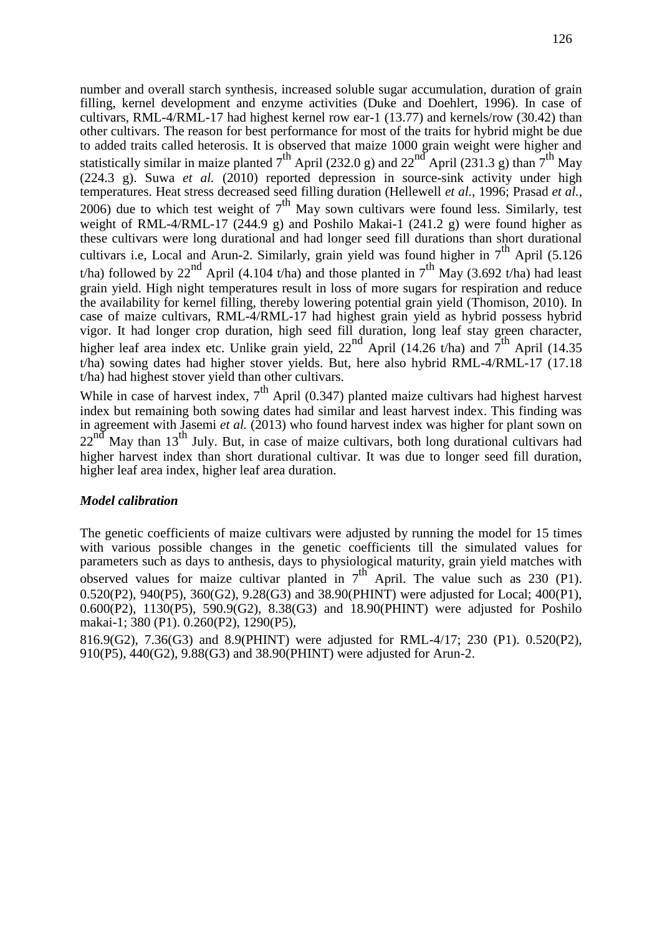number and overall starch synthesis, increased soluble sugar accumulation, duration of grain filling, kernel development and enzyme activities (Duke and Doehlert, 1996). In case of cultivars, RML-4/RML-17 had highest kernel row ear-1 (13.77) and kernels/row (30.42) than other cultivars. The reason for best performance for most of the traits for hybrid might be due to added traits called heterosis. It is observed that maize 1000 grain weight were higher and statistically similar in maize planted  $7^{th}$  April (232.0 g) and 22<sup>nd</sup> April (231.3 g) than  $7^{th}$  May (224.3 g). Suwa *et al.* (2010) reported depression in source-sink activity under high temperatures. Heat stress decreased seed filling duration (Hellewell *et al.*, 1996; Prasad *et al.*, 2006) due to which test weight of  $7<sup>th</sup>$  May sown cultivars were found less. Similarly, test weight of RML-4/RML-17 (244.9 g) and Poshilo Makai-1 (241.2 g) were found higher as these cultivars were long durational and had longer seed fill durations than short durational cultivars i.e, Local and Arun-2. Similarly, grain yield was found higher in  $7^{th}$  April (5.126) t/ha) followed by 22<sup>nd</sup> April (4.104 t/ha) and those planted in  $7<sup>th</sup>$  May (3.692 t/ha) had least grain yield. High night temperatures result in loss of more sugars for respiration and reduce the availability for kernel filling, thereby lowering potential grain yield (Thomison, 2010). In case of maize cultivars, RML-4/RML-17 had highest grain yield as hybrid possess hybrid vigor. It had longer crop duration, high seed fill duration, long leaf stay green character, higher leaf area index etc. Unlike grain yield,  $22^{nd}$  April (14.26 t/ha) and  $7^{th}$  April (14.35 t/ha) sowing dates had higher stover yields. But, here also hybrid RML-4/RML-17 (17.18 t/ha) had highest stover yield than other cultivars.

While in case of harvest index,  $7<sup>th</sup>$  April (0.347) planted maize cultivars had highest harvest index but remaining both sowing dates had similar and least harvest index. This finding was in agreement with Jasemi *et al.* (2013) who found harvest index was higher for plant sown on  $22^{nd}$  May than 13<sup>th</sup> July. But, in case of maize cultivars, both long durational cultivars had higher harvest index than short durational cultivar. It was due to longer seed fill duration, higher leaf area index, higher leaf area duration.

#### *Model calibration*

The genetic coefficients of maize cultivars were adjusted by running the model for 15 times with various possible changes in the genetic coefficients till the simulated values for parameters such as days to anthesis, days to physiological maturity, grain yield matches with observed values for maize cultivar planted in  $7^{th}$  April. The value such as 230 (P1). 0.520(P2), 940(P5), 360(G2), 9.28(G3) and 38.90(PHINT) were adjusted for Local; 400(P1), 0.600(P2), 1130(P5), 590.9(G2), 8.38(G3) and 18.90(PHINT) were adjusted for Poshilo makai-1; 380 (P1). 0.260(P2), 1290(P5),

816.9(G2), 7.36(G3) and 8.9(PHINT) were adjusted for RML-4/17; 230 (P1). 0.520(P2), 910(P5), 440(G2), 9.88(G3) and 38.90(PHINT) were adjusted for Arun-2.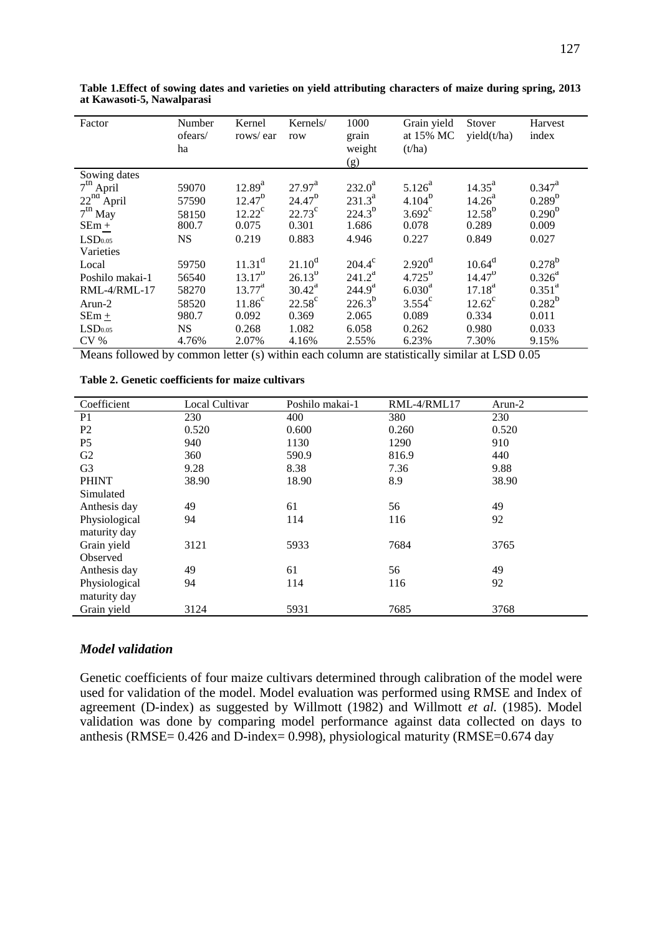| Factor              | Number<br>ofears/<br>ha | Kernel<br>rows/ear | Kernels/<br>row | 1000<br>grain<br>weight<br>(g) | Grain yield<br>at 15% MC<br>(t/ha) | Stover<br>yield(t/ha) | Harvest<br>index |
|---------------------|-------------------------|--------------------|-----------------|--------------------------------|------------------------------------|-----------------------|------------------|
| Sowing dates        |                         |                    |                 |                                |                                    |                       |                  |
| $7th$ April         | 59070                   | $12.89^{a}$        | $27.97^{\rm a}$ | $232.0^a$                      | $5.126^{a}$                        | $14.35^{a}$           | $0.347^{\rm a}$  |
| $22^{na}$ April     | 57590                   | $12.47^{b}$        | $24.47^{\circ}$ | $231.3^a$                      | $4.104^{b}$                        | 14.26 <sup>a</sup>    | $0.289^{b}$      |
| $7th$ May           | 58150                   | $12.22^{\rm c}$    | $22.73^{\circ}$ | $224.3^{b}$                    | $3.692^{\circ}$                    | $12.58^{b}$           | $0.290^{b}$      |
| $SEm +$             | 800.7                   | 0.075              | 0.301           | 1.686                          | 0.078                              | 0.289                 | 0.009            |
| LSD <sub>0.05</sub> | <b>NS</b>               | 0.219              | 0.883           | 4.946                          | 0.227                              | 0.849                 | 0.027            |
| Varieties           |                         |                    |                 |                                |                                    |                       |                  |
| Local               | 59750                   | $11.31^d$          | $21.10^d$       | $204.4^{\circ}$                | 2.920 <sup>d</sup>                 | $10.64^d$             | $0.278^{b}$      |
| Poshilo makai-1     | 56540                   | $13.17^{b}$        | $26.13^{b}$     | $241.2^a$                      | $4.725^{b}$                        | $14.47^{b}$           | $0.326^a$        |
| RML-4/RML-17        | 58270                   | $13.77^{\rm a}$    | $30.42^a$       | 244.9 <sup>a</sup>             | 6.030 <sup>a</sup>                 | $17.18^{a}$           | $0.351^{a}$      |
| Arun-2              | 58520                   | $11.86^{\circ}$    | $22.58^{\circ}$ | $226.3^{b}$                    | $3.554^c$                          | $12.62^{\circ}$       | $0.282^{b}$      |
| $SEm +$             | 980.7                   | 0.092              | 0.369           | 2.065                          | 0.089                              | 0.334                 | 0.011            |
| LSD <sub>0.05</sub> | <b>NS</b>               | 0.268              | 1.082           | 6.058                          | 0.262                              | 0.980                 | 0.033            |
| CV %                | 4.76%                   | 2.07%              | 4.16%           | 2.55%                          | 6.23%                              | 7.30%                 | 9.15%            |

**Table 1.Effect of sowing dates and varieties on yield attributing characters of maize during spring, 2013 at Kawasoti-5, Nawalparasi**

Means followed by common letter (s) within each column are statistically similar at LSD 0.05

| Coefficient    | Local Cultivar | Poshilo makai-1 | RML-4/RML17 | Arun-2 |
|----------------|----------------|-----------------|-------------|--------|
| P <sub>1</sub> | 230            | 400             | 380         | 230    |
| P <sub>2</sub> | 0.520          | 0.600           | 0.260       | 0.520  |
| P <sub>5</sub> | 940            | 1130            | 1290        | 910    |
| G2             | 360            | 590.9           | 816.9       | 440    |
| G <sub>3</sub> | 9.28           | 8.38            | 7.36        | 9.88   |
| <b>PHINT</b>   | 38.90          | 18.90           | 8.9         | 38.90  |
| Simulated      |                |                 |             |        |
| Anthesis day   | 49             | 61              | 56          | 49     |
| Physiological  | 94             | 114             | 116         | 92     |
| maturity day   |                |                 |             |        |
| Grain yield    | 3121           | 5933            | 7684        | 3765   |
| Observed       |                |                 |             |        |
| Anthesis day   | 49             | 61              | 56          | 49     |
| Physiological  | 94             | 114             | 116         | 92     |
| maturity day   |                |                 |             |        |
| Grain yield    | 3124           | 5931            | 7685        | 3768   |

**Table 2. Genetic coefficients for maize cultivars**

### *Model validation*

Genetic coefficients of four maize cultivars determined through calibration of the model were used for validation of the model. Model evaluation was performed using RMSE and Index of agreement (D-index) as suggested by Willmott (1982) and Willmott *et al.* (1985). Model validation was done by comparing model performance against data collected on days to anthesis (RMSE= 0.426 and D-index= 0.998), physiological maturity (RMSE=0.674 day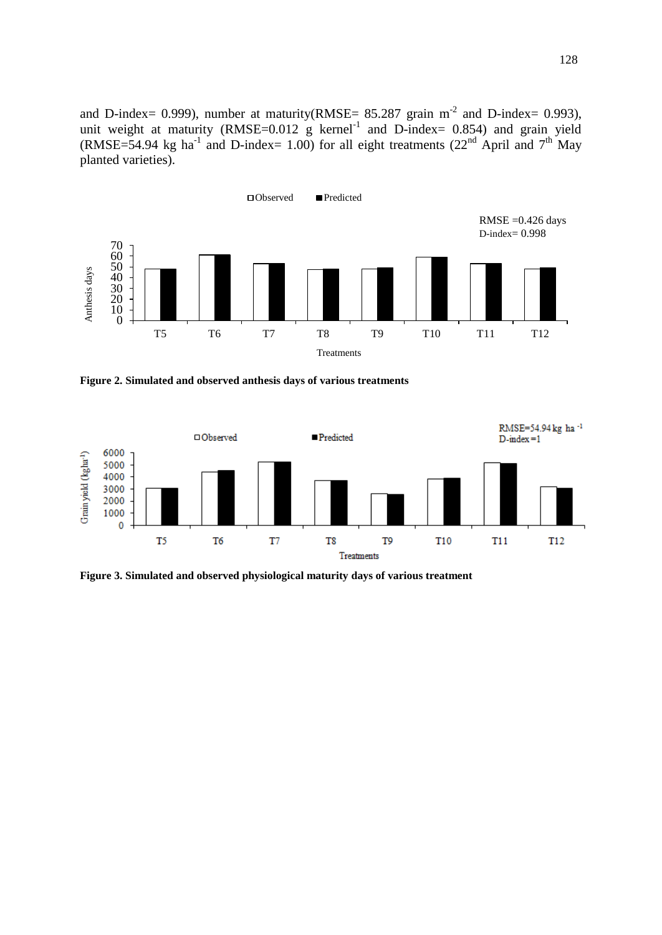and D-index = 0.999), number at maturity(RMSE =  $85.287$  grain m<sup>-2</sup> and D-index = 0.993), unit weight at maturity (RMSE= $0.012$  g kernel<sup>-1</sup> and D-index= 0.854) and grain yield (RMSE=54.94 kg ha<sup>-1</sup> and D-index= 1.00) for all eight treatments (22<sup>nd</sup> April and 7<sup>th</sup> May planted varieties).



**Figure 2. Simulated and observed anthesis days of various treatments**



**Figure 3. Simulated and observed physiological maturity days of various treatment**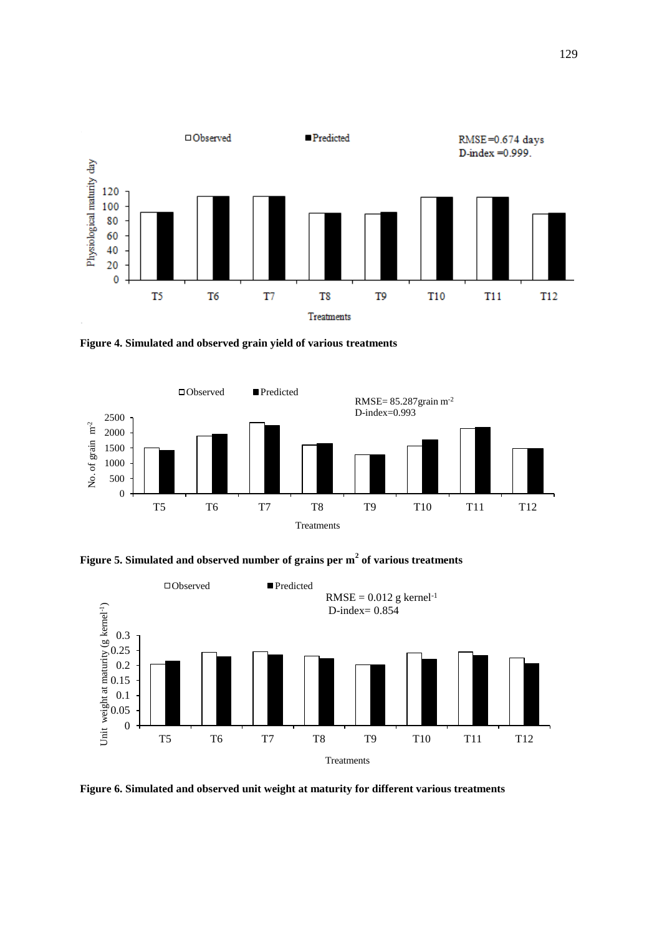

**Figure 4. Simulated and observed grain yield of various treatments**







**Figure 6. Simulated and observed unit weight at maturity for different various treatments**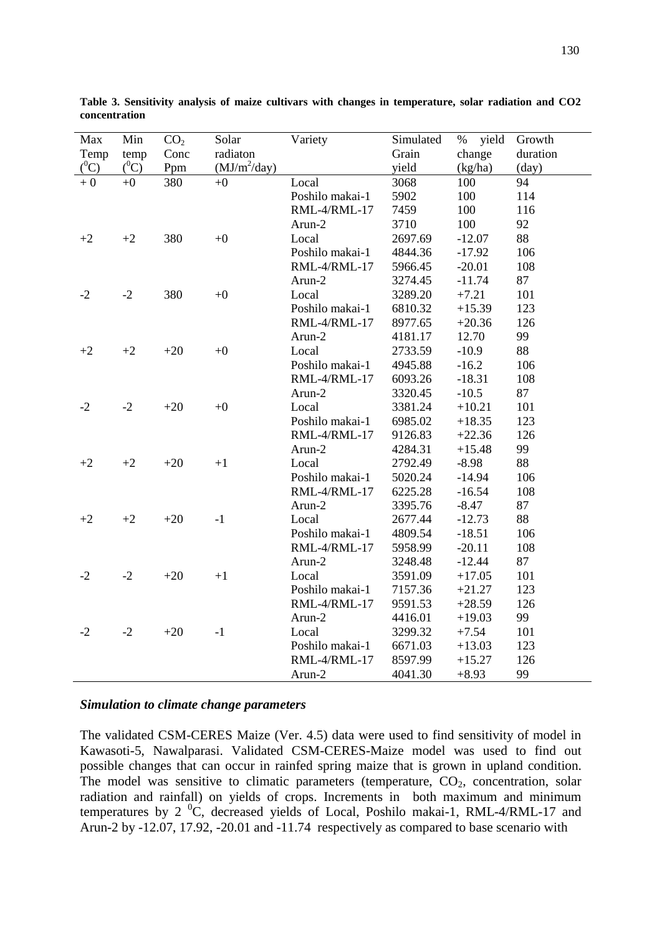| Max     | Min     | CO <sub>2</sub> | Solar          | Variety         | Simulated | yield<br>$\%$ | Growth   |
|---------|---------|-----------------|----------------|-----------------|-----------|---------------|----------|
| Temp    | temp    | Conc            | radiaton       |                 | Grain     | change        | duration |
| $(^0C)$ | $(^0C)$ | Ppm             | $(MJ/m^2/day)$ |                 | yield     | (kg/ha)       | (day)    |
| $+0$    | $+0$    | 380             | $+0$           | Local           | 3068      | 100           | 94       |
|         |         |                 |                | Poshilo makai-1 | 5902      | 100           | 114      |
|         |         |                 |                | RML-4/RML-17    | 7459      | 100           | 116      |
|         |         |                 |                | Arun-2          | 3710      | 100           | 92       |
| $+2$    | $+2$    | 380             | $+0$           | Local           | 2697.69   | $-12.07$      | 88       |
|         |         |                 |                | Poshilo makai-1 | 4844.36   | $-17.92$      | 106      |
|         |         |                 |                | RML-4/RML-17    | 5966.45   | $-20.01$      | 108      |
|         |         |                 |                | Arun-2          | 3274.45   | $-11.74$      | 87       |
| $-2$    | $-2$    | 380             | $+0$           | Local           | 3289.20   | $+7.21$       | 101      |
|         |         |                 |                | Poshilo makai-1 | 6810.32   | $+15.39$      | 123      |
|         |         |                 |                | RML-4/RML-17    | 8977.65   | $+20.36$      | 126      |
|         |         |                 |                | Arun-2          | 4181.17   | 12.70         | 99       |
| $+2$    | $+2$    | $+20$           | $+0$           | Local           | 2733.59   | $-10.9$       | 88       |
|         |         |                 |                | Poshilo makai-1 | 4945.88   | $-16.2$       | 106      |
|         |         |                 |                | RML-4/RML-17    | 6093.26   | $-18.31$      | 108      |
|         |         |                 |                | Arun-2          | 3320.45   | $-10.5$       | 87       |
| $-2$    | $-2$    | $+20$           | $+0$           | Local           | 3381.24   | $+10.21$      | 101      |
|         |         |                 |                | Poshilo makai-1 | 6985.02   | $+18.35$      | 123      |
|         |         |                 |                | RML-4/RML-17    | 9126.83   | $+22.36$      | 126      |
|         |         |                 |                | Arun-2          | 4284.31   | $+15.48$      | 99       |
| $+2$    | $+2$    | $+20$           | $+1$           | Local           | 2792.49   | 88<br>$-8.98$ |          |
|         |         |                 |                | Poshilo makai-1 | 5020.24   | $-14.94$      | 106      |
|         |         |                 |                | RML-4/RML-17    | 6225.28   | $-16.54$      | 108      |
|         |         |                 |                | Arun-2          | 3395.76   | $-8.47$       | 87       |
| $+2$    | $+2$    | $+20$           | $-1$           | Local           | 2677.44   | $-12.73$      | 88       |
|         |         |                 |                | Poshilo makai-1 | 4809.54   | $-18.51$      | 106      |
|         |         |                 |                | RML-4/RML-17    | 5958.99   | $-20.11$      | 108      |
|         |         |                 |                | Arun-2          | 3248.48   | $-12.44$      | 87       |
| $-2$    | $-2$    | $+20$           | $+1$           | Local           | 3591.09   | $+17.05$      | 101      |
|         |         |                 |                | Poshilo makai-1 | 7157.36   | $+21.27$      | 123      |
|         |         |                 |                | RML-4/RML-17    | 9591.53   | $+28.59$      | 126      |
|         |         |                 |                | Arun-2          | 4416.01   | $+19.03$      | 99       |
| $-2$    | $-2$    | $+20$           | $-1$           | Local           | 3299.32   | $+7.54$       | 101      |
|         |         |                 |                | Poshilo makai-1 | 6671.03   | $+13.03$      | 123      |
|         |         |                 |                | RML-4/RML-17    | 8597.99   | $+15.27$      | 126      |
|         |         |                 |                | Arun-2          | 4041.30   | $+8.93$       | 99       |

**Table 3. Sensitivity analysis of maize cultivars with changes in temperature, solar radiation and CO2 concentration**

#### *Simulation to climate change parameters*

The validated CSM-CERES Maize (Ver. 4.5) data were used to find sensitivity of model in Kawasoti-5, Nawalparasi. Validated CSM-CERES-Maize model was used to find out possible changes that can occur in rainfed spring maize that is grown in upland condition. The model was sensitive to climatic parameters (temperature,  $CO<sub>2</sub>$ , concentration, solar radiation and rainfall) on yields of crops. Increments in both maximum and minimum temperatures by 2  ${}^{0}C$ , decreased yields of Local, Poshilo makai-1, RML-4/RML-17 and Arun-2 by -12.07, 17.92, -20.01 and -11.74 respectively as compared to base scenario with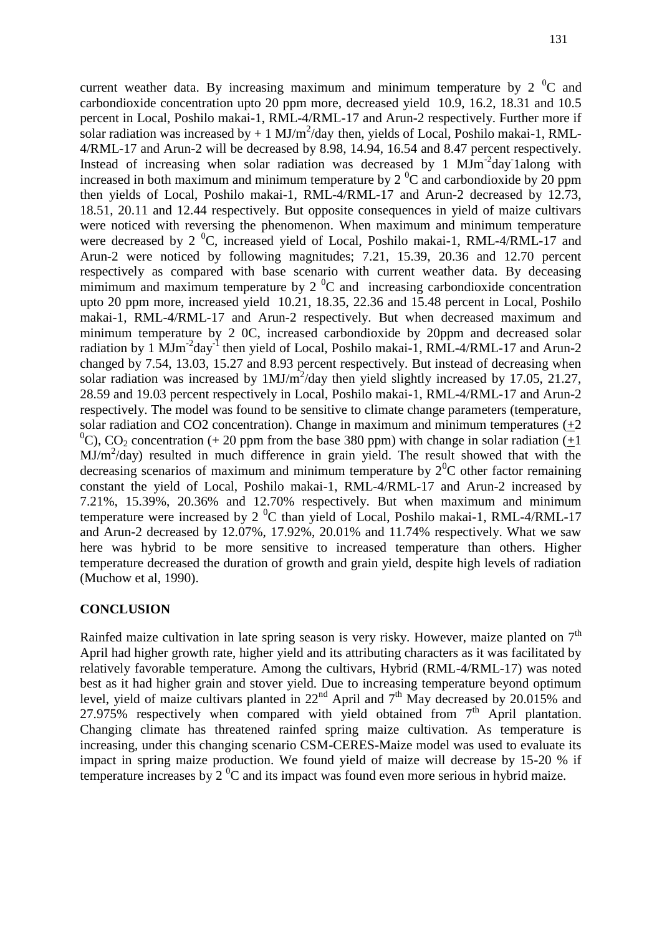current weather data. By increasing maximum and minimum temperature by  $2^{0}C$  and carbondioxide concentration upto 20 ppm more, decreased yield 10.9, 16.2, 18.31 and 10.5 percent in Local, Poshilo makai-1, RML-4/RML-17 and Arun-2 respectively. Further more if solar radiation was increased by  $+1$  MJ/m<sup>2</sup>/day then, yields of Local, Poshilo makai-1, RML-4/RML-17 and Arun-2 will be decreased by 8.98, 14.94, 16.54 and 8.47 percent respectively. Instead of increasing when solar radiation was decreased by  $1 \text{ MJm}^{-2}$ day lalong with increased in both maximum and minimum temperature by  $2^{0}C$  and carbondioxide by 20 ppm then yields of Local, Poshilo makai-1, RML-4/RML-17 and Arun-2 decreased by 12.73, 18.51, 20.11 and 12.44 respectively. But opposite consequences in yield of maize cultivars were noticed with reversing the phenomenon. When maximum and minimum temperature were decreased by 2  $\mathrm{^{0}C}$ , increased yield of Local, Poshilo makai-1, RML-4/RML-17 and Arun-2 were noticed by following magnitudes; 7.21, 15.39, 20.36 and 12.70 percent respectively as compared with base scenario with current weather data. By deceasing mimimum and maximum temperature by  $2<sup>0</sup>C$  and increasing carbondioxide concentration upto 20 ppm more, increased yield 10.21, 18.35, 22.36 and 15.48 percent in Local, Poshilo makai-1, RML-4/RML-17 and Arun-2 respectively. But when decreased maximum and minimum temperature by 2 0C, increased carbondioxide by 20ppm and decreased solar radiation by 1  $\text{MJm}^{-2}$ day<sup>-1</sup> then yield of Local, Poshilo makai-1, RML-4/RML-17 and Arun-2 changed by 7.54, 13.03, 15.27 and 8.93 percent respectively. But instead of decreasing when solar radiation was increased by  $1 MJ/m<sup>2</sup>/day$  then yield slightly increased by 17.05, 21.27, 28.59 and 19.03 percent respectively in Local, Poshilo makai-1, RML-4/RML-17 and Arun-2 respectively. The model was found to be sensitive to climate change parameters (temperature, solar radiation and CO2 concentration). Change in maximum and minimum temperatures  $(+2)$ <sup>0</sup>C), CO<sub>2</sub> concentration (+ 20 ppm from the base 380 ppm) with change in solar radiation ( $+1$ ) MJ/m<sup>2</sup>/day) resulted in much difference in grain yield. The result showed that with the decreasing scenarios of maximum and minimum temperature by  $2^{0}C$  other factor remaining constant the yield of Local, Poshilo makai-1, RML-4/RML-17 and Arun-2 increased by 7.21%, 15.39%, 20.36% and 12.70% respectively. But when maximum and minimum temperature were increased by 2 $^{0}$ C than yield of Local, Poshilo makai-1, RML-4/RML-17 and Arun-2 decreased by 12.07%, 17.92%, 20.01% and 11.74% respectively. What we saw here was hybrid to be more sensitive to increased temperature than others. Higher temperature decreased the duration of growth and grain yield, despite high levels of radiation (Muchow et al, 1990).

## **CONCLUSION**

Rainfed maize cultivation in late spring season is very risky. However, maize planted on  $7<sup>th</sup>$ April had higher growth rate, higher yield and its attributing characters as it was facilitated by relatively favorable temperature. Among the cultivars, Hybrid (RML-4/RML-17) was noted best as it had higher grain and stover yield. Due to increasing temperature beyond optimum level, yield of maize cultivars planted in  $22<sup>nd</sup>$  April and  $7<sup>th</sup>$  May decreased by 20.015% and 27.975% respectively when compared with yield obtained from  $7<sup>th</sup>$  April plantation. Changing climate has threatened rainfed spring maize cultivation. As temperature is increasing, under this changing scenario CSM-CERES-Maize model was used to evaluate its impact in spring maize production. We found yield of maize will decrease by 15-20 % if temperature increases by  $2^{0}C$  and its impact was found even more serious in hybrid maize.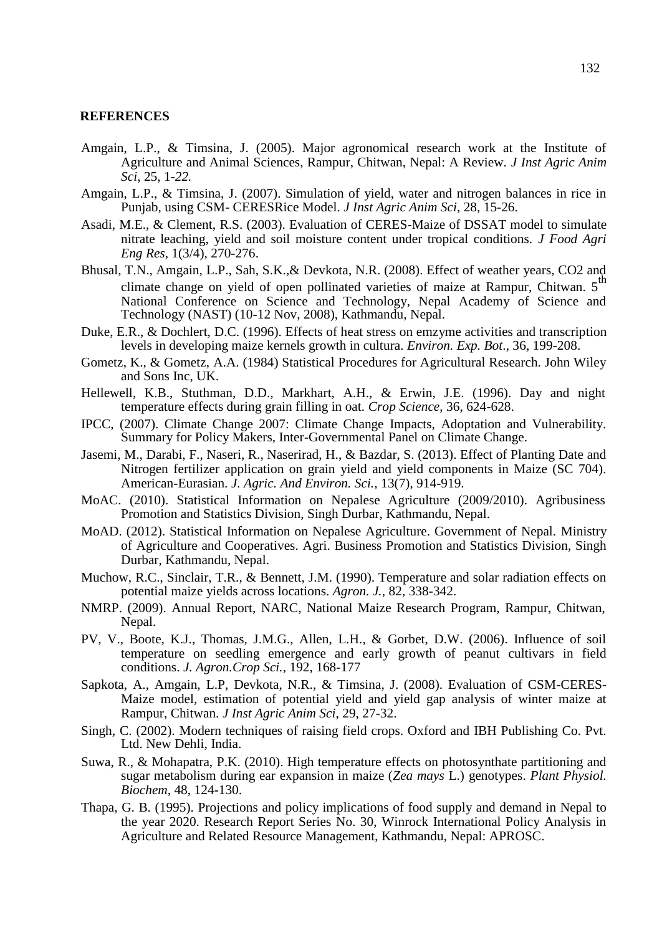#### **REFERENCES**

- Amgain, L.P., & Timsina, J. (2005). Major agronomical research work at the Institute of Agriculture and Animal Sciences, Rampur, Chitwan, Nepal: A Review. *J Inst Agric Anim Sci*, 25, 1*-22.*
- Amgain, L.P., & Timsina, J. (2007). Simulation of yield, water and nitrogen balances in rice in Punjab, using CSM- CERESRice Model. *J Inst Agric Anim Sci*, 28, 15-26.
- Asadi, M.E., & Clement, R.S. (2003). Evaluation of CERES-Maize of DSSAT model to simulate nitrate leaching, yield and soil moisture content under tropical conditions. *J Food Agri Eng Res,* 1(3/4), 270-276.
- Bhusal, T.N., Amgain, L.P., Sah, S.K.,& Devkota, N.R. (2008). Effect of weather years, CO2 and climate change on yield of open pollinated varieties of maize at Rampur, Chitwan. 5<sup>th</sup> National Conference on Science and Technology, Nepal Academy of Science and Technology (NAST) (10-12 Nov, 2008), Kathmandu, Nepal.
- Duke, E.R., & Dochlert, D.C. (1996). Effects of heat stress on emzyme activities and transcription levels in developing maize kernels growth in cultura. *Environ. Exp. Bot*., 36, 199-208.
- Gometz, K., & Gometz, A.A. (1984) Statistical Procedures for Agricultural Research. John Wiley and Sons Inc, UK.
- Hellewell, K.B., Stuthman, D.D., Markhart, A.H., & Erwin, J.E. (1996). Day and night temperature effects during grain filling in oat. *Crop Science*, 36, 624-628.
- IPCC, (2007). Climate Change 2007: Climate Change Impacts, Adoptation and Vulnerability. Summary for Policy Makers, Inter-Governmental Panel on Climate Change.
- Jasemi, M., Darabi, F., Naseri, R., Naserirad, H., & Bazdar, S. (2013). Effect of Planting Date and Nitrogen fertilizer application on grain yield and yield components in Maize (SC 704). American-Eurasian. *J. Agric. And Environ. Sci.,* 13(7), 914-919.
- MoAC. (2010). Statistical Information on Nepalese Agriculture (2009/2010). Agribusiness Promotion and Statistics Division, Singh Durbar, Kathmandu, Nepal.
- MoAD. (2012). Statistical Information on Nepalese Agriculture. Government of Nepal. Ministry of Agriculture and Cooperatives. Agri. Business Promotion and Statistics Division, Singh Durbar, Kathmandu, Nepal.
- Muchow, R.C., Sinclair, T.R., & Bennett, J.M. (1990). Temperature and solar radiation effects on potential maize yields across locations. *Agron. J.*, 82, 338-342.
- NMRP. (2009). Annual Report, NARC, National Maize Research Program, Rampur, Chitwan, Nepal.
- PV, V., Boote, K.J., Thomas, J.M.G., Allen, L.H., & Gorbet, D.W. (2006). Influence of soil temperature on seedling emergence and early growth of peanut cultivars in field conditions. *J. Agron.Crop Sci.,* 192, 168-177
- Sapkota, A., Amgain, L.P, Devkota, N.R., & Timsina, J. (2008). Evaluation of CSM-CERES-Maize model, estimation of potential yield and yield gap analysis of winter maize at Rampur, Chitwan. *J Inst Agric Anim Sci*, 29, 27-32.
- Singh, C. (2002). Modern techniques of raising field crops. Oxford and IBH Publishing Co. Pvt. Ltd. New Dehli, India.
- Suwa, R., & Mohapatra, P.K. (2010). High temperature effects on photosynthate partitioning and sugar metabolism during ear expansion in maize (*Zea mays* L.) genotypes. *Plant Physiol. Biochem,* 48, 124-130.
- Thapa, G. B. (1995). Projections and policy implications of food supply and demand in Nepal to the year 2020. Research Report Series No. 30, Winrock International Policy Analysis in Agriculture and Related Resource Management, Kathmandu, Nepal: APROSC.